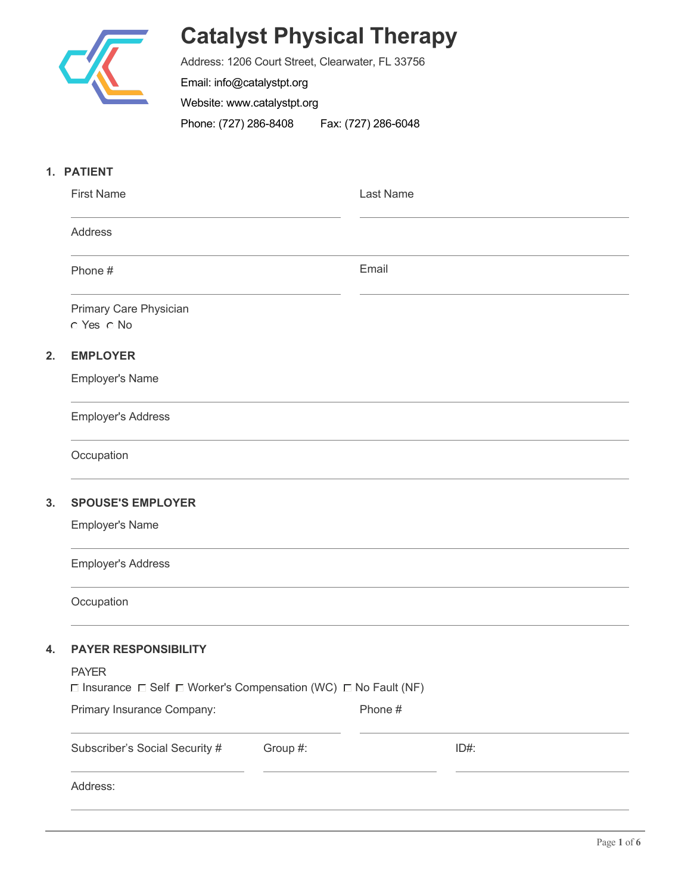

# **Catalyst Physical Therapy**

Address: 1206 Court Street, Clearwater, FL 33756 Email: info@catalystpt.org Website: www.catalystpt.org Phone: (727) 286-8408 Fax: (727) 286-6048

# **1. PATIENT**

|    | <b>First Name</b>                                                                                   |          | Last Name |      |  |  |  |
|----|-----------------------------------------------------------------------------------------------------|----------|-----------|------|--|--|--|
|    | Address                                                                                             |          |           |      |  |  |  |
|    | Phone #                                                                                             |          | Email     |      |  |  |  |
|    | Primary Care Physician<br>C Yes C No                                                                |          |           |      |  |  |  |
| 2. | <b>EMPLOYER</b>                                                                                     |          |           |      |  |  |  |
|    | <b>Employer's Name</b>                                                                              |          |           |      |  |  |  |
|    | <b>Employer's Address</b>                                                                           |          |           |      |  |  |  |
|    | Occupation                                                                                          |          |           |      |  |  |  |
| 3. | <b>SPOUSE'S EMPLOYER</b>                                                                            |          |           |      |  |  |  |
|    | <b>Employer's Name</b>                                                                              |          |           |      |  |  |  |
|    | <b>Employer's Address</b>                                                                           |          |           |      |  |  |  |
|    | Occupation                                                                                          |          |           |      |  |  |  |
| 4. | <b>PAYER RESPONSIBILITY</b>                                                                         |          |           |      |  |  |  |
|    | <b>PAYER</b><br>$\Box$ Insurance $\Box$ Self $\Box$ Worker's Compensation (WC) $\Box$ No Fault (NF) |          |           |      |  |  |  |
|    | Primary Insurance Company:                                                                          |          | Phone #   |      |  |  |  |
|    | Subscriber's Social Security #                                                                      | Group #: |           | ID#: |  |  |  |
|    | Address:                                                                                            |          |           |      |  |  |  |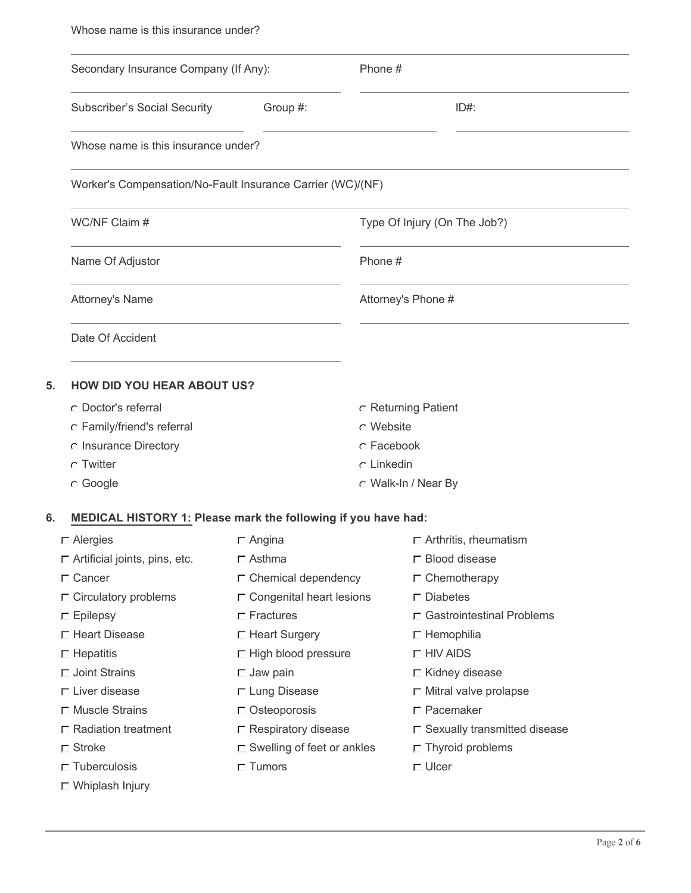| Secondary Insurance Company (If Any):                                       |                                      | Phone #                      |                                |  |  |  |  |  |
|-----------------------------------------------------------------------------|--------------------------------------|------------------------------|--------------------------------|--|--|--|--|--|
| Group #:<br><b>Subscriber's Social Security</b>                             |                                      | ID#                          |                                |  |  |  |  |  |
|                                                                             | Whose name is this insurance under?  |                              |                                |  |  |  |  |  |
| Worker's Compensation/No-Fault Insurance Carrier (WC)/(NF)<br>WC/NF Claim # |                                      |                              |                                |  |  |  |  |  |
|                                                                             |                                      | Type Of Injury (On The Job?) |                                |  |  |  |  |  |
| Name Of Adjustor                                                            |                                      | Phone #                      |                                |  |  |  |  |  |
| Attorney's Name                                                             |                                      | Attorney's Phone #           |                                |  |  |  |  |  |
| Date Of Accident                                                            |                                      |                              |                                |  |  |  |  |  |
| <b>HOW DID YOU HEAR ABOUT US?</b>                                           |                                      |                              |                                |  |  |  |  |  |
| C Doctor's referral                                                         |                                      |                              | <b>C</b> Returning Patient     |  |  |  |  |  |
| C Family/friend's referral                                                  |                                      | C Website                    |                                |  |  |  |  |  |
| c Insurance Directory                                                       | C Twitter                            |                              | C Facebook                     |  |  |  |  |  |
|                                                                             |                                      |                              | $\circ$ Linkedin               |  |  |  |  |  |
| C Google                                                                    |                                      |                              | O Walk-In / Near By            |  |  |  |  |  |
| MEDICAL HISTORY 1: Please mark the following if you have had:               |                                      |                              |                                |  |  |  |  |  |
| $\Box$ Alergies                                                             | $\Box$ Angina                        |                              | $\Box$ Arthritis, rheumatism   |  |  |  |  |  |
| $\Box$ Artificial joints, pins, etc.                                        | $\Box$ Asthma                        |                              | □ Blood disease                |  |  |  |  |  |
| $\Box$ Cancer                                                               | $\Box$ Chemical dependency           |                              | $\Box$ Chemotherapy            |  |  |  |  |  |
| $\Box$ Circulatory problems                                                 | $\Box$ Congenital heart lesions      |                              | $\square$ Diabetes             |  |  |  |  |  |
| $\Box$ Epilepsy                                                             | $\Box$ Fractures                     |                              | □ Gastrointestinal Problems    |  |  |  |  |  |
| □ Heart Disease                                                             | □ Heart Surgery                      |                              | $\Box$ Hemophilia              |  |  |  |  |  |
| $\Box$ Hepatitis                                                            | $\Box$ High blood pressure           |                              | $\Box$ HIV AIDS                |  |  |  |  |  |
| $\Box$ Joint Strains                                                        | $\Box$ Jaw pain                      |                              | □ Kidney disease               |  |  |  |  |  |
| $\Box$ Liver disease                                                        | □ Lung Disease                       |                              | $\Box$ Mitral valve prolapse   |  |  |  |  |  |
| □ Muscle Strains                                                            | $\Box$ Osteoporosis                  |                              | □ Pacemaker                    |  |  |  |  |  |
| $\Box$ Radiation treatment                                                  | $\Box$ Respiratory disease           |                              | □ Sexually transmitted disease |  |  |  |  |  |
| $\Box$ Stroke                                                               | $\square$ Swelling of feet or ankles |                              | $\Box$ Thyroid problems        |  |  |  |  |  |
| $\Box$ Tuberculosis                                                         | $\Box$ Tumors                        |                              | $\Box$ Ulcer                   |  |  |  |  |  |
| □ Whiplash Injury                                                           |                                      |                              |                                |  |  |  |  |  |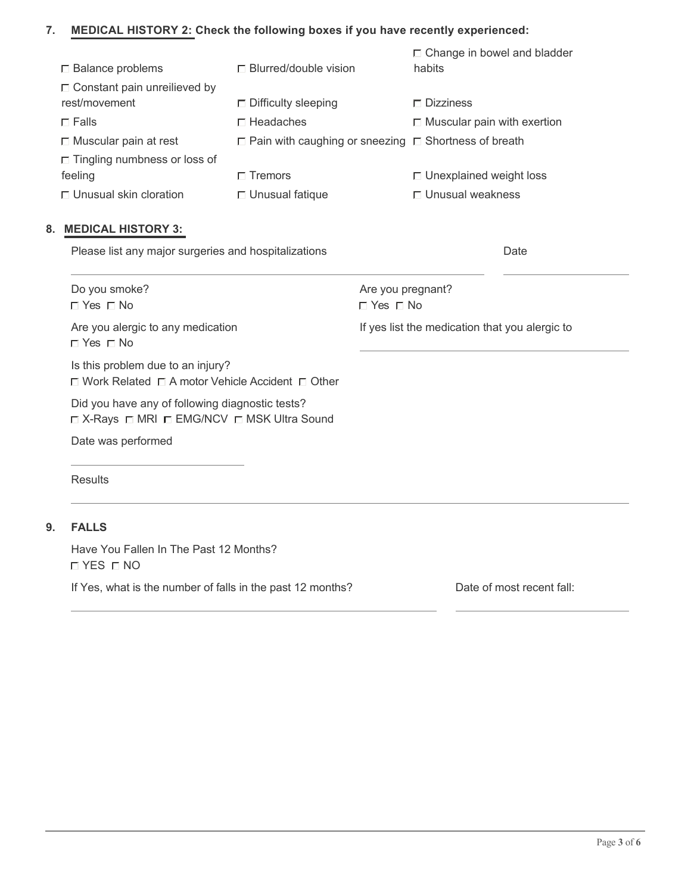#### **MEDICAL HISTORY 2: Check the following boxes if you have recently experienced: 7.**

| $\Box$ Balance problems             | $\Box$ Blurred/double vision                                     | $\Box$ Change in bowel and bladder<br>habits |
|-------------------------------------|------------------------------------------------------------------|----------------------------------------------|
| $\Box$ Constant pain unreilieved by |                                                                  |                                              |
| rest/movement                       | $\Box$ Difficulty sleeping                                       | $\Gamma$ Dizziness                           |
| $\Box$ Falls                        | $\Box$ Headaches                                                 | $\Box$ Muscular pain with exertion           |
| $\Box$ Muscular pain at rest        | $\Box$ Pain with caughing or sneezing $\Box$ Shortness of breath |                                              |
| $\Box$ Tingling numbness or loss of |                                                                  |                                              |
| feeling                             | $\Gamma$ Tremors                                                 | $\Box$ Unexplained weight loss               |
| $\Box$ Unusual skin cloration       | $\Box$ Unusual fatique                                           | $\Box$ Unusual weakness                      |

# **8. MEDICAL HISTORY 3:**

| Please list any major surgeries and hospitalizations                                                  |                                                |  |
|-------------------------------------------------------------------------------------------------------|------------------------------------------------|--|
| Do you smoke?<br>$\Box$ Yes $\Box$ No                                                                 | Are you pregnant?<br>$\Box$ Yes $\Box$ No      |  |
| Are you alergic to any medication<br>$\sqcap$ Yes $\sqcap$ No                                         | If yes list the medication that you alergic to |  |
| Is this problem due to an injury?<br>$\Box$ Work Related $\Box$ A motor Vehicle Accident $\Box$ Other |                                                |  |
| Did you have any of following diagnostic tests?<br>□ X-Rays □ MRI □ EMG/NCV □ MSK Ultra Sound         |                                                |  |
| Date was performed                                                                                    |                                                |  |

**Results** 

#### **9. FALLS**

Have You Fallen In The Past 12 Months? YES NO

If Yes, what is the number of falls in the past 12 months? Date of most recent fall: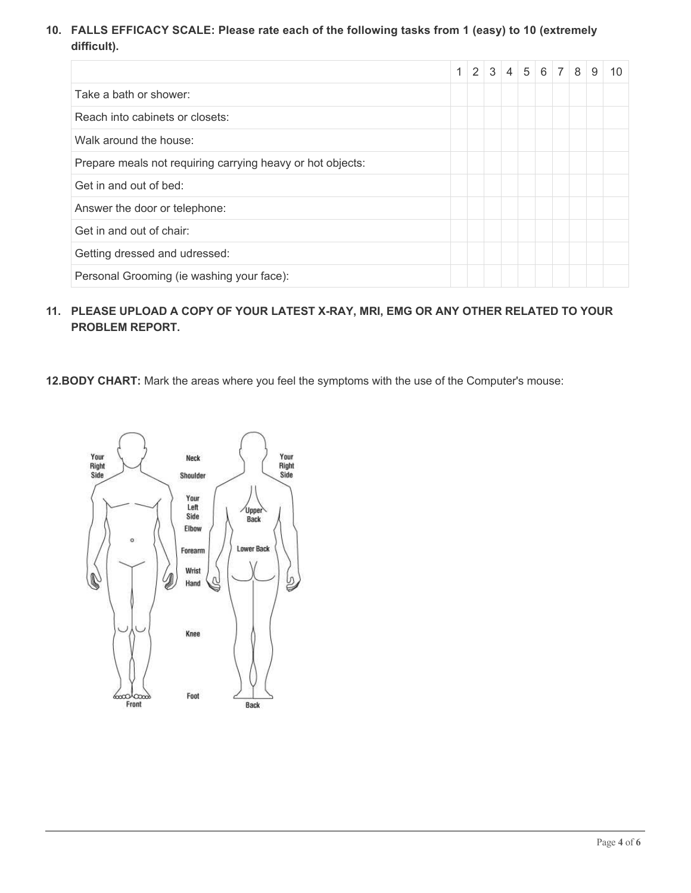**FALLS EFFICACY SCALE: Please rate each of the following tasks from 1 (easy) to 10 (extremely 10. difficult).**

|                                                            | $\mathbf{1}$ | 2 3 4 5 6 7 8 |  |  | 9 | 10 |
|------------------------------------------------------------|--------------|---------------|--|--|---|----|
| Take a bath or shower:                                     |              |               |  |  |   |    |
| Reach into cabinets or closets:                            |              |               |  |  |   |    |
| Walk around the house:                                     |              |               |  |  |   |    |
| Prepare meals not requiring carrying heavy or hot objects: |              |               |  |  |   |    |
| Get in and out of bed:                                     |              |               |  |  |   |    |
| Answer the door or telephone:                              |              |               |  |  |   |    |
| Get in and out of chair:                                   |              |               |  |  |   |    |
| Getting dressed and udressed:                              |              |               |  |  |   |    |
| Personal Grooming (ie washing your face):                  |              |               |  |  |   |    |

#### **PLEASE UPLOAD A COPY OF YOUR LATEST X-RAY, MRI, EMG OR ANY OTHER RELATED TO YOUR 11. PROBLEM REPORT.**

**12.BODY CHART:** Mark the areas where you feel the symptoms with the use of the Computer's mouse:

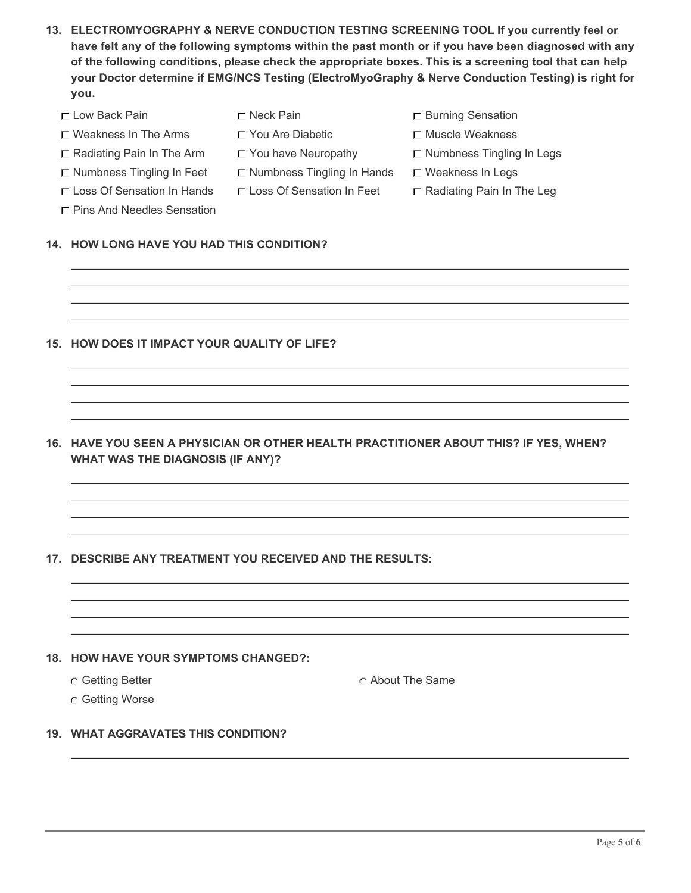- **ELECTROMYOGRAPHY & NERVE CONDUCTION TESTING SCREENING TOOL If you currently feel or 13. have felt any of the following symptoms within the past month or if you have been diagnosed with any of the following conditions, please check the appropriate boxes. This is a screening tool that can help your Doctor determine if EMG/NCS Testing (ElectroMyoGraphy & Nerve Conduction Testing) is right for you.**
	- $\square$  Low Back Pain  $\square$  Neck Pain Burning Sensation Burning Sensation
	- $\Box$  Weakness In The Arms  $\Box$  You Are Diabetic  $\Box$  Muscle Weakness
	-
	- $\Box$  Numbness Tingling In Feet  $\Box$  Numbness Tingling In Hands  $\Box$  Weakness In Legs
	- $\Box$  Loss Of Sensation In Hands  $\Box$  Loss Of Sensation In Feet  $\Box$  Radiating Pain In The Leg
	- Pins And Needles Sensation

# **14. HOW LONG HAVE YOU HAD THIS CONDITION?**

- **15. HOW DOES IT IMPACT YOUR QUALITY OF LIFE?**
- **HAVE YOU SEEN A PHYSICIAN OR OTHER HEALTH PRACTITIONER ABOUT THIS? IF YES, WHEN? 16. WHAT WAS THE DIAGNOSIS (IF ANY)?**

# **17. DESCRIBE ANY TREATMENT YOU RECEIVED AND THE RESULTS:**

# **18. HOW HAVE YOUR SYMPTOMS CHANGED?:**

- 
- C Getting Better About The Same
- Getting Worse

# **19. WHAT AGGRAVATES THIS CONDITION?**

- 
- $\Box$  Radiating Pain In The Arm  $\Box$  You have Neuropathy  $\Box$  Numbness Tingling In Legs
	-
	-
- 
- 
- - -